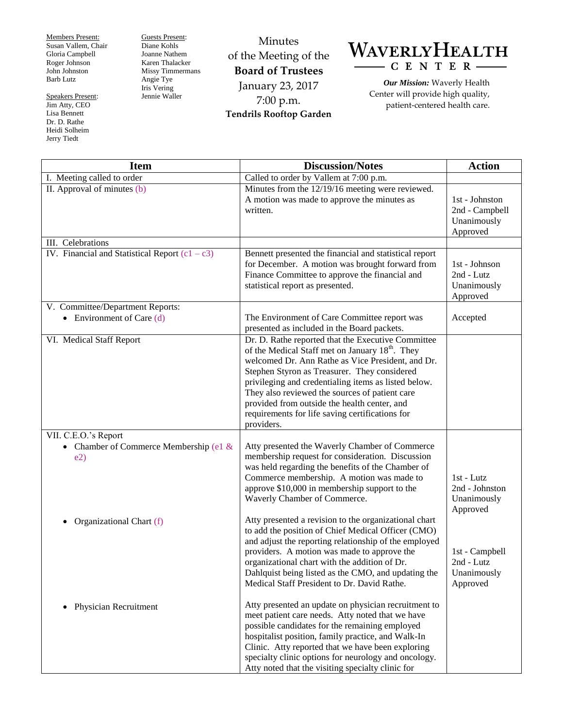Members Present: Susan Vallem, Chair Gloria Campbell Roger Johnson John Johnston Barb Lutz

Speakers Present: Jim Atty, CEO Lisa Bennett Dr. D. Rathe Heidi Solheim Jerry Tiedt

Guests Present: Diane Kohls Joanne Nathem Karen Thalacker Missy Timmermans Angie Tye Iris Vering Jennie Waller

Minutes of the Meeting of the **Board of Trustees** January 23, 2017 7:00 p.m. **Tendrils Rooftop Garden**

WAVERLYHEALTH  $-$  C E N T E R  $-$ 

> *Our Mission:* Waverly Health Center will provide high quality, patient-centered health care.

| <b>Item</b>                                      | <b>Discussion/Notes</b>                                                                                                                                                                                                                                                                                                                                                                                                                           | <b>Action</b>                                               |
|--------------------------------------------------|---------------------------------------------------------------------------------------------------------------------------------------------------------------------------------------------------------------------------------------------------------------------------------------------------------------------------------------------------------------------------------------------------------------------------------------------------|-------------------------------------------------------------|
| I. Meeting called to order                       | Called to order by Vallem at 7:00 p.m.                                                                                                                                                                                                                                                                                                                                                                                                            |                                                             |
| II. Approval of minutes (b)                      | Minutes from the 12/19/16 meeting were reviewed.<br>A motion was made to approve the minutes as<br>written.                                                                                                                                                                                                                                                                                                                                       | 1st - Johnston<br>2nd - Campbell<br>Unanimously<br>Approved |
| III. Celebrations                                |                                                                                                                                                                                                                                                                                                                                                                                                                                                   |                                                             |
| IV. Financial and Statistical Report $(c1 - c3)$ | Bennett presented the financial and statistical report<br>for December. A motion was brought forward from<br>Finance Committee to approve the financial and<br>statistical report as presented.                                                                                                                                                                                                                                                   | 1st - Johnson<br>2nd - Lutz<br>Unanimously<br>Approved      |
| V. Committee/Department Reports:                 |                                                                                                                                                                                                                                                                                                                                                                                                                                                   |                                                             |
| • Environment of Care $(d)$                      | The Environment of Care Committee report was<br>presented as included in the Board packets.                                                                                                                                                                                                                                                                                                                                                       | Accepted                                                    |
| VI. Medical Staff Report                         | Dr. D. Rathe reported that the Executive Committee<br>of the Medical Staff met on January 18 <sup>th</sup> . They<br>welcomed Dr. Ann Rathe as Vice President, and Dr.<br>Stephen Styron as Treasurer. They considered<br>privileging and credentialing items as listed below.<br>They also reviewed the sources of patient care<br>provided from outside the health center, and<br>requirements for life saving certifications for<br>providers. |                                                             |
| VII. C.E.O.'s Report                             |                                                                                                                                                                                                                                                                                                                                                                                                                                                   |                                                             |
| • Chamber of Commerce Membership (e1 $&$<br>e2)  | Atty presented the Waverly Chamber of Commerce<br>membership request for consideration. Discussion<br>was held regarding the benefits of the Chamber of<br>Commerce membership. A motion was made to<br>approve \$10,000 in membership support to the<br>Waverly Chamber of Commerce.                                                                                                                                                             | 1st - Lutz<br>2nd - Johnston<br>Unanimously<br>Approved     |
| Organizational Chart (f)                         | Atty presented a revision to the organizational chart<br>to add the position of Chief Medical Officer (CMO)<br>and adjust the reporting relationship of the employed<br>providers. A motion was made to approve the<br>organizational chart with the addition of Dr.<br>Dahlquist being listed as the CMO, and updating the<br>Medical Staff President to Dr. David Rathe.                                                                        | 1st - Campbell<br>2nd - Lutz<br>Unanimously<br>Approved     |
| Physician Recruitment<br>٠                       | Atty presented an update on physician recruitment to<br>meet patient care needs. Atty noted that we have<br>possible candidates for the remaining employed<br>hospitalist position, family practice, and Walk-In<br>Clinic. Atty reported that we have been exploring<br>specialty clinic options for neurology and oncology.<br>Atty noted that the visiting specialty clinic for                                                                |                                                             |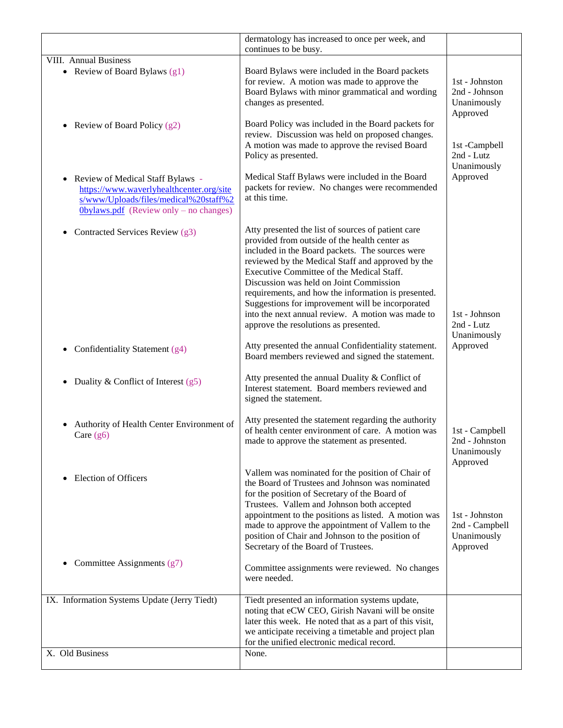|                                                                                                                                                                      | dermatology has increased to once per week, and<br>continues to be busy.                                                                                                                                                                                                                                                                                                                                                                                                                                     |                                                             |
|----------------------------------------------------------------------------------------------------------------------------------------------------------------------|--------------------------------------------------------------------------------------------------------------------------------------------------------------------------------------------------------------------------------------------------------------------------------------------------------------------------------------------------------------------------------------------------------------------------------------------------------------------------------------------------------------|-------------------------------------------------------------|
| VIII. Annual Business                                                                                                                                                |                                                                                                                                                                                                                                                                                                                                                                                                                                                                                                              |                                                             |
| • Review of Board Bylaws $(g1)$                                                                                                                                      | Board Bylaws were included in the Board packets<br>for review. A motion was made to approve the<br>Board Bylaws with minor grammatical and wording<br>changes as presented.                                                                                                                                                                                                                                                                                                                                  | 1st - Johnston<br>2nd - Johnson<br>Unanimously<br>Approved  |
| Review of Board Policy (g2)<br>$\bullet$                                                                                                                             | Board Policy was included in the Board packets for<br>review. Discussion was held on proposed changes.<br>A motion was made to approve the revised Board<br>Policy as presented.                                                                                                                                                                                                                                                                                                                             | 1st -Campbell<br>2nd - Lutz<br>Unanimously                  |
| • Review of Medical Staff Bylaws -<br>https://www.waverlyhealthcenter.org/site<br>s/www/Uploads/files/medical%20staff%2<br>$0$ bylaws.pdf (Review only – no changes) | Medical Staff Bylaws were included in the Board<br>packets for review. No changes were recommended<br>at this time.                                                                                                                                                                                                                                                                                                                                                                                          | Approved                                                    |
| Contracted Services Review (g3)<br>$\bullet$                                                                                                                         | Atty presented the list of sources of patient care<br>provided from outside of the health center as<br>included in the Board packets. The sources were<br>reviewed by the Medical Staff and approved by the<br>Executive Committee of the Medical Staff.<br>Discussion was held on Joint Commission<br>requirements, and how the information is presented.<br>Suggestions for improvement will be incorporated<br>into the next annual review. A motion was made to<br>approve the resolutions as presented. | 1st - Johnson<br>2nd - Lutz<br>Unanimously                  |
| Confidentiality Statement (g4)                                                                                                                                       | Atty presented the annual Confidentiality statement.<br>Board members reviewed and signed the statement.                                                                                                                                                                                                                                                                                                                                                                                                     | Approved                                                    |
| Duality & Conflict of Interest $(g5)$                                                                                                                                | Atty presented the annual Duality & Conflict of<br>Interest statement. Board members reviewed and<br>signed the statement.                                                                                                                                                                                                                                                                                                                                                                                   |                                                             |
| Authority of Health Center Environment of<br>Care $(g6)$                                                                                                             | Atty presented the statement regarding the authority<br>of health center environment of care. A motion was<br>made to approve the statement as presented.                                                                                                                                                                                                                                                                                                                                                    | 1st - Campbell<br>2nd - Johnston<br>Unanimously<br>Approved |
| <b>Election of Officers</b>                                                                                                                                          | Vallem was nominated for the position of Chair of<br>the Board of Trustees and Johnson was nominated<br>for the position of Secretary of the Board of<br>Trustees. Vallem and Johnson both accepted<br>appointment to the positions as listed. A motion was<br>made to approve the appointment of Vallem to the<br>position of Chair and Johnson to the position of<br>Secretary of the Board of Trustees.                                                                                                   | 1st - Johnston<br>2nd - Campbell<br>Unanimously<br>Approved |
| Committee Assignments (g7)                                                                                                                                           | Committee assignments were reviewed. No changes<br>were needed.                                                                                                                                                                                                                                                                                                                                                                                                                                              |                                                             |
| IX. Information Systems Update (Jerry Tiedt)                                                                                                                         | Tiedt presented an information systems update,<br>noting that eCW CEO, Girish Navani will be onsite<br>later this week. He noted that as a part of this visit,<br>we anticipate receiving a timetable and project plan<br>for the unified electronic medical record.                                                                                                                                                                                                                                         |                                                             |
| X. Old Business                                                                                                                                                      | None.                                                                                                                                                                                                                                                                                                                                                                                                                                                                                                        |                                                             |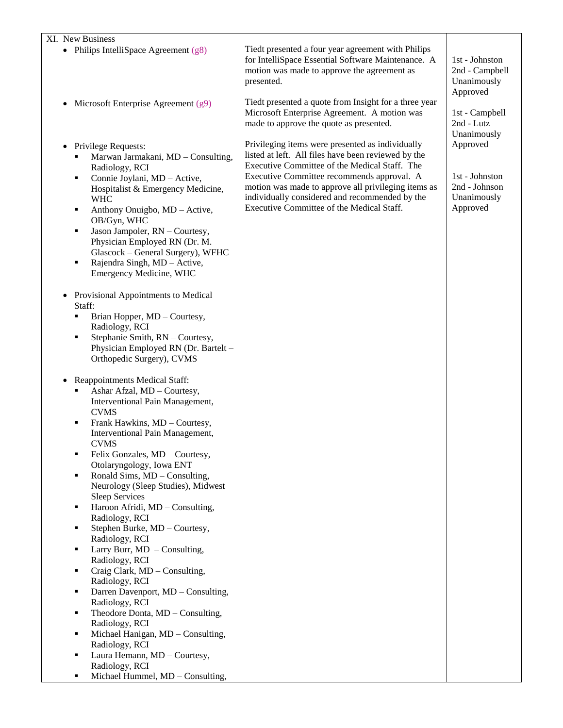| XI. New Business<br>• Philips IntelliSpace Agreement $(g8)$                                                                                                                                                                                                                                                                                                                                                                                                                                                                                                                                                        | Tiedt presented a four year agreement with Philips<br>for IntelliSpace Essential Software Maintenance. A<br>motion was made to approve the agreement as<br>presented.                                                                                                                                                                                        | 1st - Johnston<br>2nd - Campbell<br>Unanimously<br>Approved            |
|--------------------------------------------------------------------------------------------------------------------------------------------------------------------------------------------------------------------------------------------------------------------------------------------------------------------------------------------------------------------------------------------------------------------------------------------------------------------------------------------------------------------------------------------------------------------------------------------------------------------|--------------------------------------------------------------------------------------------------------------------------------------------------------------------------------------------------------------------------------------------------------------------------------------------------------------------------------------------------------------|------------------------------------------------------------------------|
| Microsoft Enterprise Agreement $(g9)$<br>٠                                                                                                                                                                                                                                                                                                                                                                                                                                                                                                                                                                         | Tiedt presented a quote from Insight for a three year<br>Microsoft Enterprise Agreement. A motion was<br>made to approve the quote as presented.                                                                                                                                                                                                             | 1st - Campbell<br>2nd - Lutz<br>Unanimously                            |
| Privilege Requests:<br>$\bullet$<br>Marwan Jarmakani, MD - Consulting,<br>Radiology, RCI<br>Connie Joylani, MD - Active,<br>٠<br>Hospitalist & Emergency Medicine,<br><b>WHC</b><br>Anthony Onuigbo, MD - Active,<br>٠<br>OB/Gyn, WHC<br>Jason Jampoler, RN - Courtesy,<br>٠<br>Physician Employed RN (Dr. M.<br>Glascock - General Surgery), WFHC<br>Rajendra Singh, MD - Active,<br>٠<br>Emergency Medicine, WHC<br>Provisional Appointments to Medical<br>$\bullet$<br>Staff:<br>Brian Hopper, MD - Courtesy,<br>Radiology, RCI<br>Stephanie Smith, RN - Courtesy,<br>٠<br>Physician Employed RN (Dr. Bartelt - | Privileging items were presented as individually<br>listed at left. All files have been reviewed by the<br>Executive Committee of the Medical Staff. The<br>Executive Committee recommends approval. A<br>motion was made to approve all privileging items as<br>individually considered and recommended by the<br>Executive Committee of the Medical Staff. | Approved<br>1st - Johnston<br>2nd - Johnson<br>Unanimously<br>Approved |
| Orthopedic Surgery), CVMS<br>Reappointments Medical Staff:<br>Ashar Afzal, MD - Courtesy,<br>٠                                                                                                                                                                                                                                                                                                                                                                                                                                                                                                                     |                                                                                                                                                                                                                                                                                                                                                              |                                                                        |
| Interventional Pain Management,<br><b>CVMS</b><br>Frank Hawkins, MD - Courtesy,<br>٠<br>Interventional Pain Management,                                                                                                                                                                                                                                                                                                                                                                                                                                                                                            |                                                                                                                                                                                                                                                                                                                                                              |                                                                        |
| <b>CVMS</b><br>Felix Gonzales, MD - Courtesy,<br>٠                                                                                                                                                                                                                                                                                                                                                                                                                                                                                                                                                                 |                                                                                                                                                                                                                                                                                                                                                              |                                                                        |
| Otolaryngology, Iowa ENT<br>Ronald Sims, MD - Consulting,<br>٠<br>Neurology (Sleep Studies), Midwest<br><b>Sleep Services</b>                                                                                                                                                                                                                                                                                                                                                                                                                                                                                      |                                                                                                                                                                                                                                                                                                                                                              |                                                                        |
| Haroon Afridi, MD - Consulting,<br>٠                                                                                                                                                                                                                                                                                                                                                                                                                                                                                                                                                                               |                                                                                                                                                                                                                                                                                                                                                              |                                                                        |
| Radiology, RCI<br>Stephen Burke, MD - Courtesy,<br>٠                                                                                                                                                                                                                                                                                                                                                                                                                                                                                                                                                               |                                                                                                                                                                                                                                                                                                                                                              |                                                                        |
| Radiology, RCI<br>Larry Burr, $MD$ – Consulting,<br>٠                                                                                                                                                                                                                                                                                                                                                                                                                                                                                                                                                              |                                                                                                                                                                                                                                                                                                                                                              |                                                                        |
| Radiology, RCI<br>Craig Clark, MD - Consulting,<br>٠                                                                                                                                                                                                                                                                                                                                                                                                                                                                                                                                                               |                                                                                                                                                                                                                                                                                                                                                              |                                                                        |
| Radiology, RCI<br>Darren Davenport, MD - Consulting,<br>٠                                                                                                                                                                                                                                                                                                                                                                                                                                                                                                                                                          |                                                                                                                                                                                                                                                                                                                                                              |                                                                        |
| Radiology, RCI<br>Theodore Donta, MD - Consulting,<br>٠                                                                                                                                                                                                                                                                                                                                                                                                                                                                                                                                                            |                                                                                                                                                                                                                                                                                                                                                              |                                                                        |
| Radiology, RCI<br>Michael Hanigan, MD - Consulting,<br>٠                                                                                                                                                                                                                                                                                                                                                                                                                                                                                                                                                           |                                                                                                                                                                                                                                                                                                                                                              |                                                                        |
| Radiology, RCI<br>Laura Hemann, MD - Courtesy,<br>٠                                                                                                                                                                                                                                                                                                                                                                                                                                                                                                                                                                |                                                                                                                                                                                                                                                                                                                                                              |                                                                        |
| Radiology, RCI                                                                                                                                                                                                                                                                                                                                                                                                                                                                                                                                                                                                     |                                                                                                                                                                                                                                                                                                                                                              |                                                                        |
| Michael Hummel, MD - Consulting,<br>٠                                                                                                                                                                                                                                                                                                                                                                                                                                                                                                                                                                              |                                                                                                                                                                                                                                                                                                                                                              |                                                                        |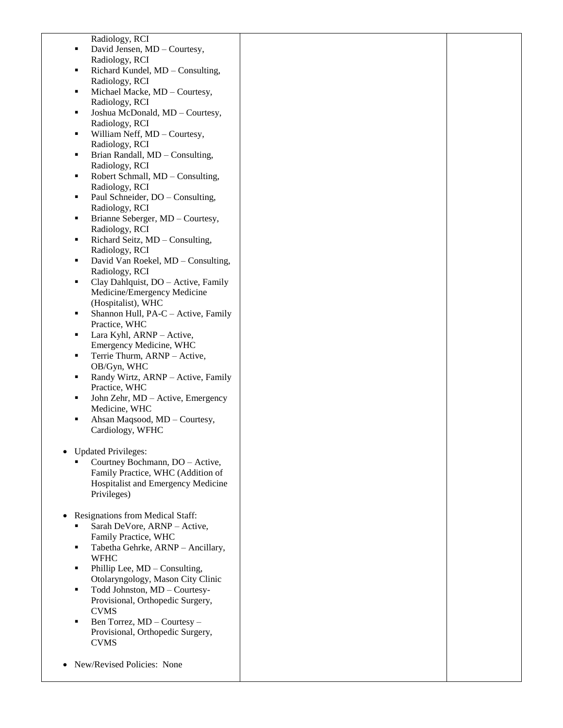Radiology, RCI ■ David Jensen, MD – Courtesy, Radiology, RCI Richard Kundel, MD – Consulting, Radiology, RCI Michael Macke, MD – Courtesy, Radiology, RCI ■ Joshua McDonald, MD – Courtesy, Radiology, RCI William Neff, MD – Courtesy, Radiology, RCI ■ Brian Randall, MD – Consulting, Radiology, RCI ■ Robert Schmall, MD – Consulting, Radiology, RCI • Paul Schneider, DO – Consulting, Radiology, RCI  $\blacksquare$  Brianne Seberger, MD – Courtesy, Radiology, RCI Richard Seitz,  $MD -$ Consulting, Radiology, RCI ■ David Van Roekel, MD – Consulting, Radiology, RCI • Clay Dahlquist, DO – Active, Family Medicine/Emergency Medicine (Hospitalist), WHC Shannon Hull, PA-C – Active, Family Practice, WHC  $\blacksquare$  Lara Kyhl, ARNP – Active, Emergency Medicine, WHC Terrie Thurm, ARNP – Active, OB/Gyn, WHC Randy Wirtz, ARNP – Active, Family Practice, WHC John Zehr, MD – Active, Emergency Medicine, WHC ■ Ahsan Maqsood, MD – Courtesy, Cardiology, WFHC Updated Privileges: Courtney Bochmann, DO – Active, Family Practice, WHC (Addition of Hospitalist and Emergency Medicine Privileges) • Resignations from Medical Staff: Sarah DeVore, ARNP – Active, Family Practice, WHC Tabetha Gehrke, ARNP – Ancillary, WFHC Phillip Lee, MD – Consulting, Otolaryngology, Mason City Clinic Todd Johnston, MD – Courtesy-Provisional, Orthopedic Surgery, CVMS Ben Torrez, MD – Courtesy – Provisional, Orthopedic Surgery, CVMS

• New/Revised Policies: None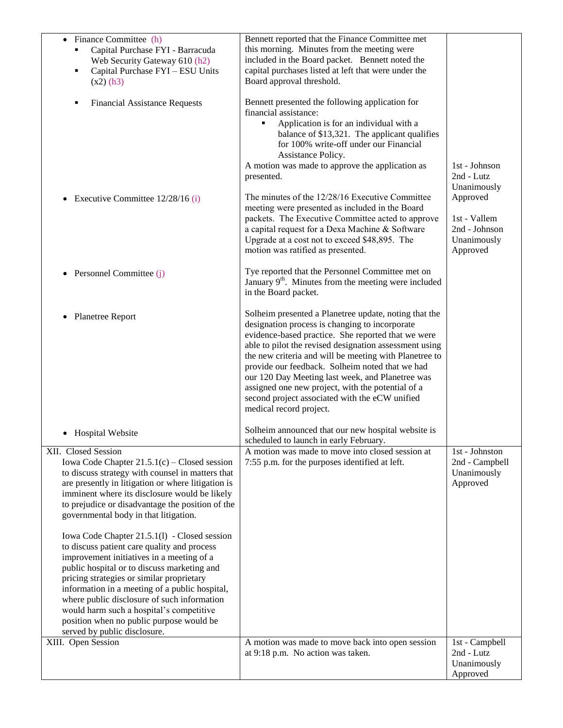| Finance Committee (h)<br>$\bullet$<br>Capital Purchase FYI - Barracuda<br>Web Security Gateway 610 (h2)<br>Capital Purchase FYI - ESU Units<br>٠<br>$(x2)$ (h3)<br><b>Financial Assistance Requests</b><br>٠                                                                                                                                                                                                                                                                                                                                                                                                                                                                                                                                                                                   | Bennett reported that the Finance Committee met<br>this morning. Minutes from the meeting were<br>included in the Board packet. Bennett noted the<br>capital purchases listed at left that were under the<br>Board approval threshold.<br>Bennett presented the following application for<br>financial assistance:<br>Application is for an individual with a<br>٠<br>balance of \$13,321. The applicant qualifies<br>for 100% write-off under our Financial<br>Assistance Policy.<br>A motion was made to approve the application as<br>presented. | 1st - Johnson<br>2nd - Lutz<br>Unanimously                           |
|------------------------------------------------------------------------------------------------------------------------------------------------------------------------------------------------------------------------------------------------------------------------------------------------------------------------------------------------------------------------------------------------------------------------------------------------------------------------------------------------------------------------------------------------------------------------------------------------------------------------------------------------------------------------------------------------------------------------------------------------------------------------------------------------|-----------------------------------------------------------------------------------------------------------------------------------------------------------------------------------------------------------------------------------------------------------------------------------------------------------------------------------------------------------------------------------------------------------------------------------------------------------------------------------------------------------------------------------------------------|----------------------------------------------------------------------|
| Executive Committee 12/28/16 (i)<br>$\bullet$                                                                                                                                                                                                                                                                                                                                                                                                                                                                                                                                                                                                                                                                                                                                                  | The minutes of the 12/28/16 Executive Committee<br>meeting were presented as included in the Board<br>packets. The Executive Committee acted to approve<br>a capital request for a Dexa Machine & Software<br>Upgrade at a cost not to exceed \$48,895. The<br>motion was ratified as presented.                                                                                                                                                                                                                                                    | Approved<br>1st - Vallem<br>2nd - Johnson<br>Unanimously<br>Approved |
| Personnel Committee (j)<br>٠                                                                                                                                                                                                                                                                                                                                                                                                                                                                                                                                                                                                                                                                                                                                                                   | Tye reported that the Personnel Committee met on<br>January 9 <sup>th</sup> . Minutes from the meeting were included<br>in the Board packet.                                                                                                                                                                                                                                                                                                                                                                                                        |                                                                      |
| <b>Planetree Report</b><br>٠                                                                                                                                                                                                                                                                                                                                                                                                                                                                                                                                                                                                                                                                                                                                                                   | Solheim presented a Planetree update, noting that the<br>designation process is changing to incorporate<br>evidence-based practice. She reported that we were<br>able to pilot the revised designation assessment using<br>the new criteria and will be meeting with Planetree to<br>provide our feedback. Solheim noted that we had<br>our 120 Day Meeting last week, and Planetree was<br>assigned one new project, with the potential of a<br>second project associated with the eCW unified<br>medical record project.                          |                                                                      |
| <b>Hospital Website</b>                                                                                                                                                                                                                                                                                                                                                                                                                                                                                                                                                                                                                                                                                                                                                                        | Solheim announced that our new hospital website is<br>scheduled to launch in early February.                                                                                                                                                                                                                                                                                                                                                                                                                                                        |                                                                      |
| XII. Closed Session<br>Iowa Code Chapter $21.5.1(c)$ – Closed session<br>to discuss strategy with counsel in matters that<br>are presently in litigation or where litigation is<br>imminent where its disclosure would be likely<br>to prejudice or disadvantage the position of the<br>governmental body in that litigation.<br>Iowa Code Chapter 21.5.1(1) - Closed session<br>to discuss patient care quality and process<br>improvement initiatives in a meeting of a<br>public hospital or to discuss marketing and<br>pricing strategies or similar proprietary<br>information in a meeting of a public hospital,<br>where public disclosure of such information<br>would harm such a hospital's competitive<br>position when no public purpose would be<br>served by public disclosure. | A motion was made to move into closed session at<br>7:55 p.m. for the purposes identified at left.                                                                                                                                                                                                                                                                                                                                                                                                                                                  | 1st - Johnston<br>2nd - Campbell<br>Unanimously<br>Approved          |
| XIII. Open Session                                                                                                                                                                                                                                                                                                                                                                                                                                                                                                                                                                                                                                                                                                                                                                             | A motion was made to move back into open session<br>at 9:18 p.m. No action was taken.                                                                                                                                                                                                                                                                                                                                                                                                                                                               | 1st - Campbell<br>2nd - Lutz<br>Unanimously<br>Approved              |